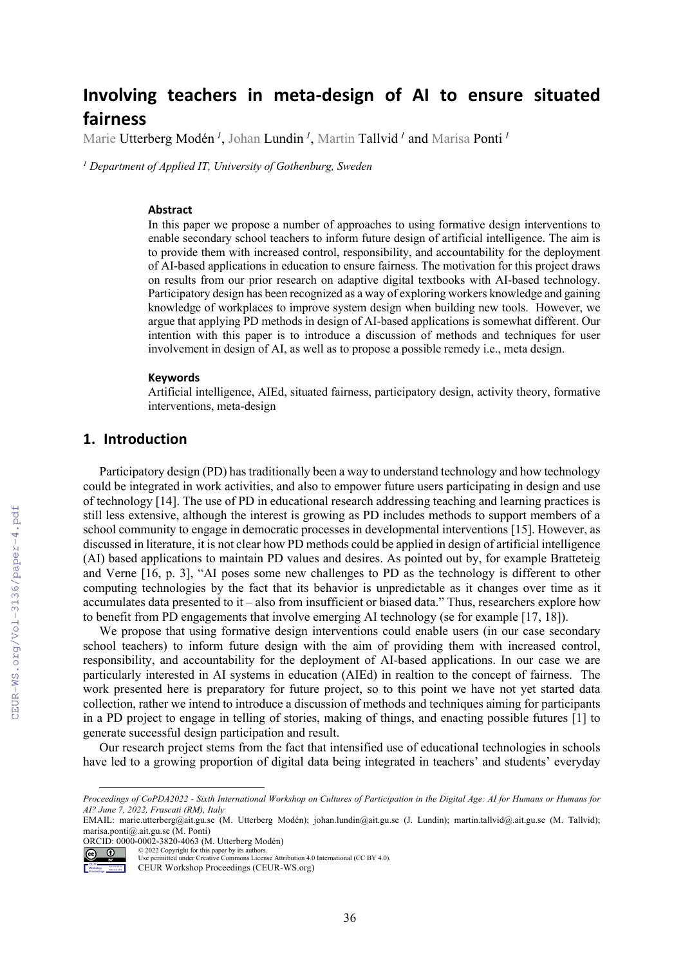# **Involving teachers in meta-design of AI to ensure situated fairness**

Marie Utterberg Modén *<sup>1</sup>* , Johan Lundin *<sup>1</sup>* , Martin Tallvid *<sup>1</sup>* and Marisa Ponti *<sup>1</sup>*

*<sup>1</sup> Department of Applied IT, University of Gothenburg, Sweden*

#### **Abstract**

In this paper we propose a number of approaches to using formative design interventions to enable secondary school teachers to inform future design of artificial intelligence. The aim is to provide them with increased control, responsibility, and accountability for the deployment of AI-based applications in education to ensure fairness. The motivation for this project draws on results from our prior research on adaptive digital textbooks with AI-based technology. Participatory design has been recognized as a way of exploring workers knowledge and gaining knowledge of workplaces to improve system design when building new tools. However, we argue that applying PD methods in design of AI-based applications is somewhat different. Our intention with this paper is to introduce a discussion of methods and techniques for user involvement in design of AI, as well as to propose a possible remedy i.e., meta design.

#### **Keywords**

Artificial intelligence, AIEd, situated fairness, participatory design, activity theory, formative interventions, meta-design

## **1. Introduction**

Participatory design (PD) has traditionally been a way to understand technology and how technology could be integrated in work activities, and also to empower future users participating in design and use of technology [14]. The use of PD in educational research addressing teaching and learning practices is still less extensive, although the interest is growing as PD includes methods to support members of a school community to engage in democratic processes in developmental interventions [15]. However, as discussed in literature, it is not clear how PD methods could be applied in design of artificial intelligence (AI) based applications to maintain PD values and desires. As pointed out by, for example Bratteteig and Verne [16, p. 3], "AI poses some new challenges to PD as the technology is different to other computing technologies by the fact that its behavior is unpredictable as it changes over time as it accumulates data presented to it – also from insufficient or biased data." Thus, researchers explore how to benefit from PD engagements that involve emerging AI technology (se for example [17, 18]).

We propose that using formative design interventions could enable users (in our case secondary school teachers) to inform future design with the aim of providing them with increased control, responsibility, and accountability for the deployment of AI-based applications. In our case we are particularly interested in AI systems in education (AIEd) in realtion to the concept of fairness. The work presented here is preparatory for future project, so to this point we have not yet started data collection, rather we intend to introduce a discussion of methods and techniques aiming for participants in a PD project to engage in telling of stories, making of things, and enacting possible futures [1] to generate successful design participation and result.

Our research project stems from the fact that intensified use of educational technologies in schools have led to a growing proportion of digital data being integrated in teachers' and students' everyday

ORCID: 0000-0002-3820-4063 (M. Utterberg Modén) © 2022 Copyright for this paper by its authors.



Use permitted under Creative Commons License Attribution 4.0 International (CC BY 4.0).

*Proceedings of CoPDA2022 - Sixth International Workshop on Cultures of Participation in the Digital Age: AI for Humans or Humans for AI? June 7, 2022, Frascati (RM), Italy*

EMAIL: marie.utterberg@ait.gu.se (M. Utterberg Modén); johan.lundin@ait.gu.se (J. Lundin); martin.tallvid@.ait.gu.se (M. Tallvid); marisa.ponti@.ait.gu.se (M. Ponti)

CEUR Workshop Proceedings (CEUR-WS.org)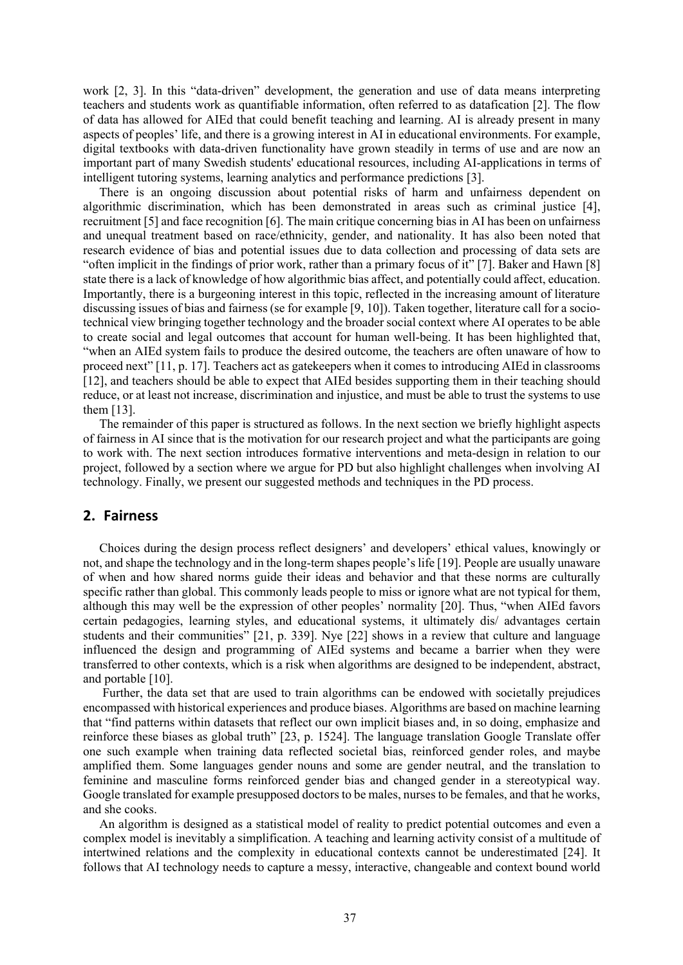work [2, 3]. In this "data-driven" development, the generation and use of data means interpreting teachers and students work as quantifiable information, often referred to as datafication [2]. The flow of data has allowed for AIEd that could benefit teaching and learning. AI is already present in many aspects of peoples' life, and there is a growing interest in AI in educational environments. For example, digital textbooks with data-driven functionality have grown steadily in terms of use and are now an important part of many Swedish students' educational resources, including AI-applications in terms of intelligent tutoring systems, learning analytics and performance predictions [3].

There is an ongoing discussion about potential risks of harm and unfairness dependent on algorithmic discrimination, which has been demonstrated in areas such as criminal justice [4], recruitment [5] and face recognition [6]. The main critique concerning bias in AI has been on unfairness and unequal treatment based on race/ethnicity, gender, and nationality. It has also been noted that research evidence of bias and potential issues due to data collection and processing of data sets are "often implicit in the findings of prior work, rather than a primary focus of it" [7]. Baker and Hawn [8] state there is a lack of knowledge of how algorithmic bias affect, and potentially could affect, education. Importantly, there is a burgeoning interest in this topic, reflected in the increasing amount of literature discussing issues of bias and fairness (se for example [9, 10]). Taken together, literature call for a sociotechnical view bringing together technology and the broader social context where AI operates to be able to create social and legal outcomes that account for human well-being. It has been highlighted that, "when an AIEd system fails to produce the desired outcome, the teachers are often unaware of how to proceed next" [11, p. 17]. Teachers act as gatekeepers when it comes to introducing AIEd in classrooms [12], and teachers should be able to expect that AIEd besides supporting them in their teaching should reduce, or at least not increase, discrimination and injustice, and must be able to trust the systems to use them [13].

The remainder of this paper is structured as follows. In the next section we briefly highlight aspects of fairness in AI since that is the motivation for our research project and what the participants are going to work with. The next section introduces formative interventions and meta-design in relation to our project, followed by a section where we argue for PD but also highlight challenges when involving AI technology. Finally, we present our suggested methods and techniques in the PD process.

#### **2. Fairness**

Choices during the design process reflect designers' and developers' ethical values, knowingly or not, and shape the technology and in the long-term shapes people's life [19]. People are usually unaware of when and how shared norms guide their ideas and behavior and that these norms are culturally specific rather than global. This commonly leads people to miss or ignore what are not typical for them, although this may well be the expression of other peoples' normality [20]. Thus, "when AIEd favors certain pedagogies, learning styles, and educational systems, it ultimately dis/ advantages certain students and their communities" [21, p. 339]. Nye [22] shows in a review that culture and language influenced the design and programming of AIEd systems and became a barrier when they were transferred to other contexts, which is a risk when algorithms are designed to be independent, abstract, and portable [10].

Further, the data set that are used to train algorithms can be endowed with societally prejudices encompassed with historical experiences and produce biases. Algorithms are based on machine learning that "find patterns within datasets that reflect our own implicit biases and, in so doing, emphasize and reinforce these biases as global truth" [23, p. 1524]. The language translation Google Translate offer one such example when training data reflected societal bias, reinforced gender roles, and maybe amplified them. Some languages gender nouns and some are gender neutral, and the translation to feminine and masculine forms reinforced gender bias and changed gender in a stereotypical way. Google translated for example presupposed doctors to be males, nurses to be females, and that he works, and she cooks.

An algorithm is designed as a statistical model of reality to predict potential outcomes and even a complex model is inevitably a simplification. A teaching and learning activity consist of a multitude of intertwined relations and the complexity in educational contexts cannot be underestimated [24]. It follows that AI technology needs to capture a messy, interactive, changeable and context bound world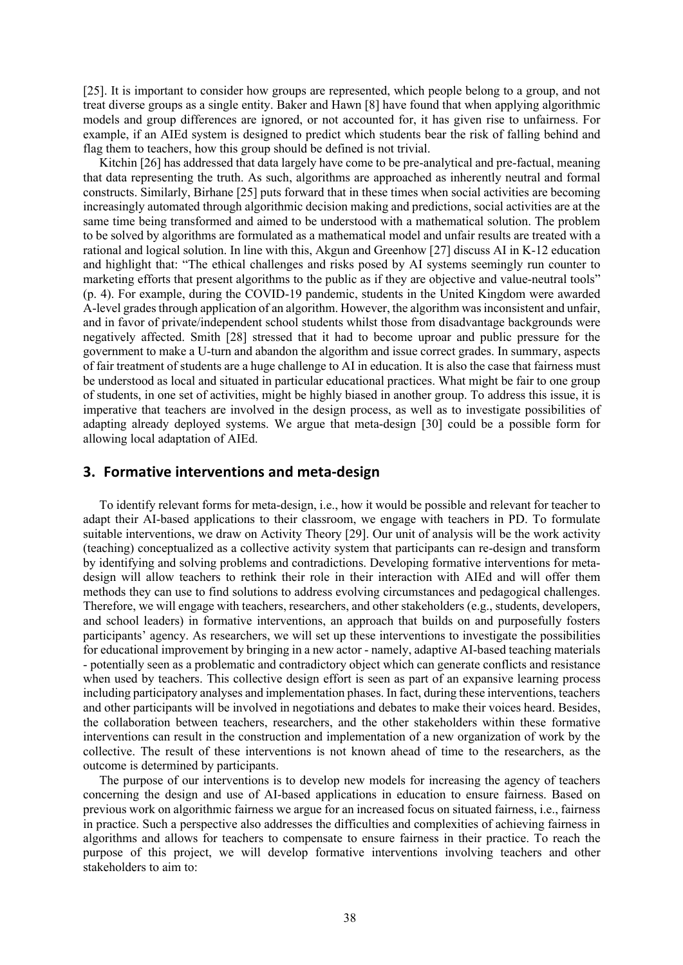[25]. It is important to consider how groups are represented, which people belong to a group, and not treat diverse groups as a single entity. Baker and Hawn [8] have found that when applying algorithmic models and group differences are ignored, or not accounted for, it has given rise to unfairness. For example, if an AIEd system is designed to predict which students bear the risk of falling behind and flag them to teachers, how this group should be defined is not trivial.

Kitchin [26] has addressed that data largely have come to be pre-analytical and pre-factual, meaning that data representing the truth. As such, algorithms are approached as inherently neutral and formal constructs. Similarly, Birhane [25] puts forward that in these times when social activities are becoming increasingly automated through algorithmic decision making and predictions, social activities are at the same time being transformed and aimed to be understood with a mathematical solution. The problem to be solved by algorithms are formulated as a mathematical model and unfair results are treated with a rational and logical solution. In line with this, Akgun and Greenhow [27] discuss AI in K-12 education and highlight that: "The ethical challenges and risks posed by AI systems seemingly run counter to marketing efforts that present algorithms to the public as if they are objective and value-neutral tools" (p. 4). For example, during the COVID-19 pandemic, students in the United Kingdom were awarded A-level grades through application of an algorithm. However, the algorithm was inconsistent and unfair, and in favor of private/independent school students whilst those from disadvantage backgrounds were negatively affected. Smith [28] stressed that it had to become uproar and public pressure for the government to make a U-turn and abandon the algorithm and issue correct grades. In summary, aspects of fair treatment of students are a huge challenge to AI in education. It is also the case that fairness must be understood as local and situated in particular educational practices. What might be fair to one group of students, in one set of activities, might be highly biased in another group. To address this issue, it is imperative that teachers are involved in the design process, as well as to investigate possibilities of adapting already deployed systems. We argue that meta-design [30] could be a possible form for allowing local adaptation of AIEd.

#### **3. Formative interventions and meta-design**

To identify relevant forms for meta-design, i.e., how it would be possible and relevant for teacher to adapt their AI-based applications to their classroom, we engage with teachers in PD. To formulate suitable interventions, we draw on Activity Theory [29]. Our unit of analysis will be the work activity (teaching) conceptualized as a collective activity system that participants can re-design and transform by identifying and solving problems and contradictions. Developing formative interventions for metadesign will allow teachers to rethink their role in their interaction with AIEd and will offer them methods they can use to find solutions to address evolving circumstances and pedagogical challenges. Therefore, we will engage with teachers, researchers, and other stakeholders (e.g., students, developers, and school leaders) in formative interventions, an approach that builds on and purposefully fosters participants' agency. As researchers, we will set up these interventions to investigate the possibilities for educational improvement by bringing in a new actor - namely, adaptive AI-based teaching materials - potentially seen as a problematic and contradictory object which can generate conflicts and resistance when used by teachers. This collective design effort is seen as part of an expansive learning process including participatory analyses and implementation phases. In fact, during these interventions, teachers and other participants will be involved in negotiations and debates to make their voices heard. Besides, the collaboration between teachers, researchers, and the other stakeholders within these formative interventions can result in the construction and implementation of a new organization of work by the collective. The result of these interventions is not known ahead of time to the researchers, as the outcome is determined by participants.

The purpose of our interventions is to develop new models for increasing the agency of teachers concerning the design and use of AI-based applications in education to ensure fairness. Based on previous work on algorithmic fairness we argue for an increased focus on situated fairness, i.e., fairness in practice. Such a perspective also addresses the difficulties and complexities of achieving fairness in algorithms and allows for teachers to compensate to ensure fairness in their practice. To reach the purpose of this project, we will develop formative interventions involving teachers and other stakeholders to aim to: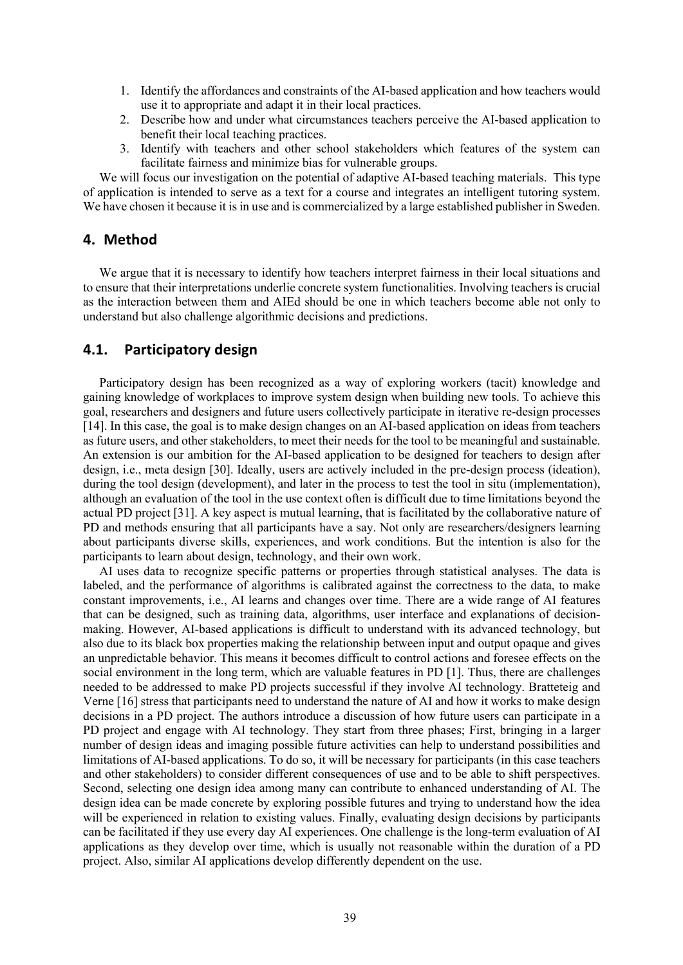- 1. Identify the affordances and constraints of the AI-based application and how teachers would use it to appropriate and adapt it in their local practices.
- 2. Describe how and under what circumstances teachers perceive the AI-based application to benefit their local teaching practices.
- 3. Identify with teachers and other school stakeholders which features of the system can facilitate fairness and minimize bias for vulnerable groups.

We will focus our investigation on the potential of adaptive AI-based teaching materials. This type of application is intended to serve as a text for a course and integrates an intelligent tutoring system. We have chosen it because it is in use and is commercialized by a large established publisher in Sweden.

#### **4. Method**

We argue that it is necessary to identify how teachers interpret fairness in their local situations and to ensure that their interpretations underlie concrete system functionalities. Involving teachers is crucial as the interaction between them and AIEd should be one in which teachers become able not only to understand but also challenge algorithmic decisions and predictions.

## **4.1. Participatory design**

Participatory design has been recognized as a way of exploring workers (tacit) knowledge and gaining knowledge of workplaces to improve system design when building new tools. To achieve this goal, researchers and designers and future users collectively participate in iterative re-design processes [14]. In this case, the goal is to make design changes on an AI-based application on ideas from teachers as future users, and other stakeholders, to meet their needs for the tool to be meaningful and sustainable. An extension is our ambition for the AI-based application to be designed for teachers to design after design, i.e., meta design [30]. Ideally, users are actively included in the pre-design process (ideation), during the tool design (development), and later in the process to test the tool in situ (implementation), although an evaluation of the tool in the use context often is difficult due to time limitations beyond the actual PD project [31]. A key aspect is mutual learning, that is facilitated by the collaborative nature of PD and methods ensuring that all participants have a say. Not only are researchers/designers learning about participants diverse skills, experiences, and work conditions. But the intention is also for the participants to learn about design, technology, and their own work.

AI uses data to recognize specific patterns or properties through statistical analyses. The data is labeled, and the performance of algorithms is calibrated against the correctness to the data, to make constant improvements, i.e., AI learns and changes over time. There are a wide range of AI features that can be designed, such as training data, algorithms, user interface and explanations of decisionmaking. However, AI-based applications is difficult to understand with its advanced technology, but also due to its black box properties making the relationship between input and output opaque and gives an unpredictable behavior. This means it becomes difficult to control actions and foresee effects on the social environment in the long term, which are valuable features in PD [1]. Thus, there are challenges needed to be addressed to make PD projects successful if they involve AI technology. Bratteteig and Verne [16] stress that participants need to understand the nature of AI and how it works to make design decisions in a PD project. The authors introduce a discussion of how future users can participate in a PD project and engage with AI technology. They start from three phases; First, bringing in a larger number of design ideas and imaging possible future activities can help to understand possibilities and limitations of AI-based applications. To do so, it will be necessary for participants (in this case teachers and other stakeholders) to consider different consequences of use and to be able to shift perspectives. Second, selecting one design idea among many can contribute to enhanced understanding of AI. The design idea can be made concrete by exploring possible futures and trying to understand how the idea will be experienced in relation to existing values. Finally, evaluating design decisions by participants can be facilitated if they use every day AI experiences. One challenge is the long-term evaluation of AI applications as they develop over time, which is usually not reasonable within the duration of a PD project. Also, similar AI applications develop differently dependent on the use.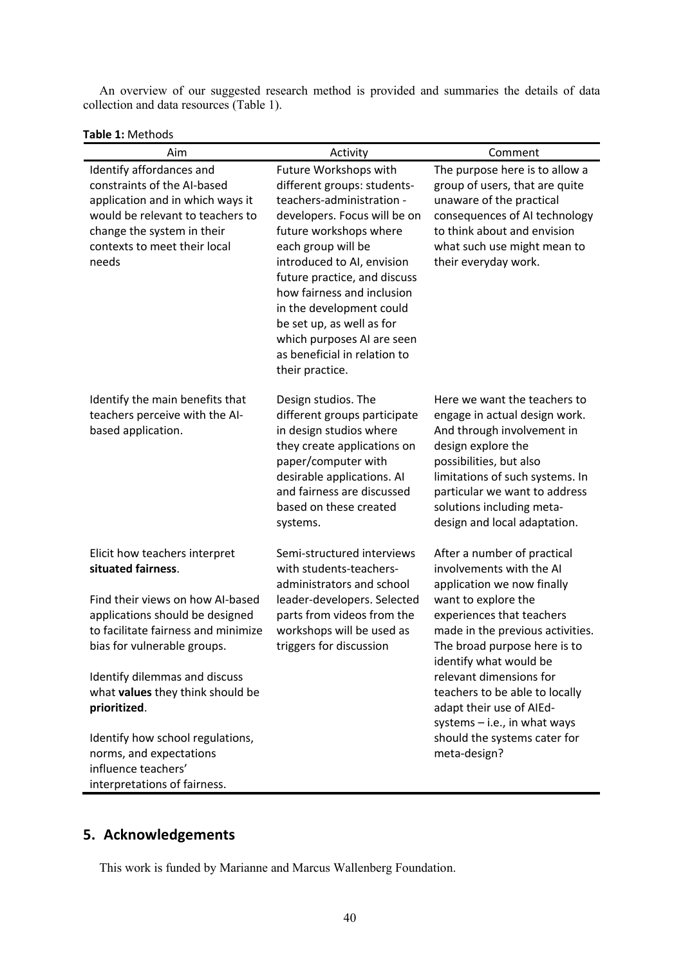An overview of our suggested research method is provided and summaries the details of data collection and data resources (Table 1).

|  |  | <b>Table 1: Methods</b> |
|--|--|-------------------------|
|--|--|-------------------------|

| Aim                                                                                                                                                                                                    | Activity                                                                                                                                                                                                                                                                                                                                                                                                | Comment                                                                                                                                                                                                                                                                       |
|--------------------------------------------------------------------------------------------------------------------------------------------------------------------------------------------------------|---------------------------------------------------------------------------------------------------------------------------------------------------------------------------------------------------------------------------------------------------------------------------------------------------------------------------------------------------------------------------------------------------------|-------------------------------------------------------------------------------------------------------------------------------------------------------------------------------------------------------------------------------------------------------------------------------|
| Identify affordances and<br>constraints of the AI-based<br>application and in which ways it<br>would be relevant to teachers to<br>change the system in their<br>contexts to meet their local<br>needs | Future Workshops with<br>different groups: students-<br>teachers-administration -<br>developers. Focus will be on<br>future workshops where<br>each group will be<br>introduced to AI, envision<br>future practice, and discuss<br>how fairness and inclusion<br>in the development could<br>be set up, as well as for<br>which purposes AI are seen<br>as beneficial in relation to<br>their practice. | The purpose here is to allow a<br>group of users, that are quite<br>unaware of the practical<br>consequences of AI technology<br>to think about and envision<br>what such use might mean to<br>their everyday work.                                                           |
| Identify the main benefits that<br>teachers perceive with the AI-<br>based application.                                                                                                                | Design studios. The<br>different groups participate<br>in design studios where<br>they create applications on<br>paper/computer with<br>desirable applications. Al<br>and fairness are discussed<br>based on these created<br>systems.                                                                                                                                                                  | Here we want the teachers to<br>engage in actual design work.<br>And through involvement in<br>design explore the<br>possibilities, but also<br>limitations of such systems. In<br>particular we want to address<br>solutions including meta-<br>design and local adaptation. |
| Elicit how teachers interpret<br>situated fairness.                                                                                                                                                    | Semi-structured interviews<br>with students-teachers-<br>administrators and school                                                                                                                                                                                                                                                                                                                      | After a number of practical<br>involvements with the AI<br>application we now finally<br>want to explore the<br>experiences that teachers<br>made in the previous activities.<br>The broad purpose here is to<br>identify what would be                                       |
| Find their views on how Al-based<br>applications should be designed<br>to facilitate fairness and minimize<br>bias for vulnerable groups.                                                              | leader-developers. Selected<br>parts from videos from the<br>workshops will be used as<br>triggers for discussion                                                                                                                                                                                                                                                                                       |                                                                                                                                                                                                                                                                               |
| Identify dilemmas and discuss<br>what values they think should be<br>prioritized.                                                                                                                      |                                                                                                                                                                                                                                                                                                                                                                                                         | relevant dimensions for<br>teachers to be able to locally<br>adapt their use of AIEd-<br>systems $-$ i.e., in what ways                                                                                                                                                       |
| Identify how school regulations,<br>norms, and expectations<br>influence teachers'<br>interpretations of fairness.                                                                                     |                                                                                                                                                                                                                                                                                                                                                                                                         | should the systems cater for<br>meta-design?                                                                                                                                                                                                                                  |

## **5. Acknowledgements**

This work is funded by Marianne and Marcus Wallenberg Foundation.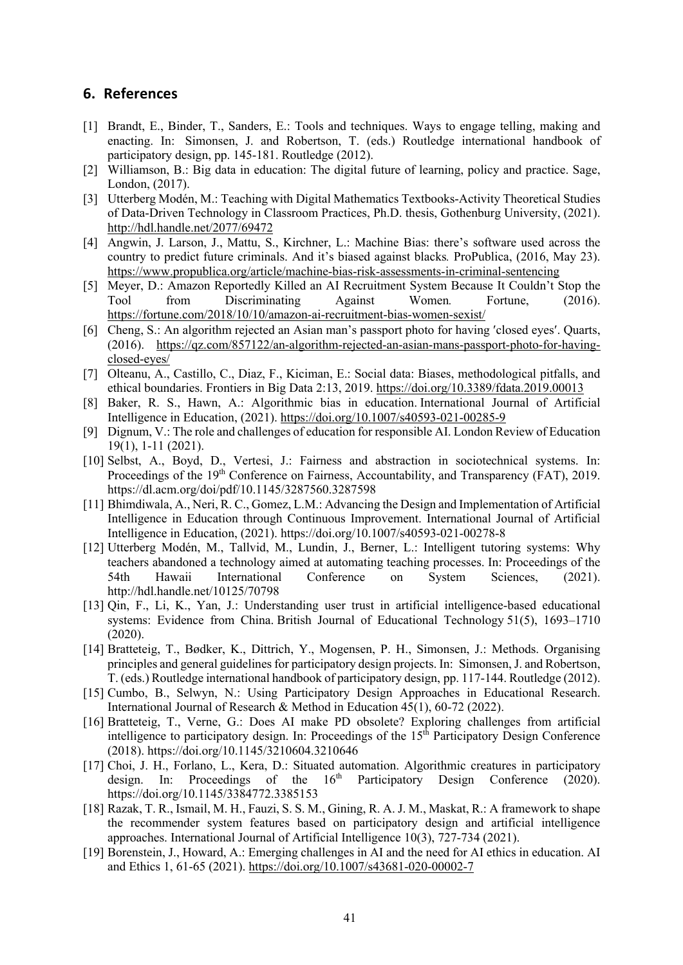### **6. References**

- [1] Brandt, E., Binder, T., Sanders, E.: Tools and techniques. Ways to engage telling, making and enacting. In: Simonsen, J. and Robertson, T. (eds.) Routledge international handbook of participatory design, pp. 145-181. Routledge (2012).
- [2] Williamson, B.: Big data in education: The digital future of learning, policy and practice. Sage, London, (2017).
- [3] Utterberg Modén, M.: Teaching with Digital Mathematics Textbooks-Activity Theoretical Studies of Data-Driven Technology in Classroom Practices, Ph.D. thesis, Gothenburg University, (2021). http://hdl.handle.net/2077/69472
- [4] Angwin, J. Larson, J., Mattu, S., Kirchner, L.: Machine Bias: there's software used across the country to predict future criminals. And it's biased against blacks*.* ProPublica, (2016, May 23). https://www.propublica.org/article/machine-bias-risk-assessments-in-criminal-sentencing
- [5] Meyer, D.: Amazon Reportedly Killed an AI Recruitment System Because It Couldn't Stop the Tool from Discriminating Against Women*.* Fortune, (2016). https://fortune.com/2018/10/10/amazon-ai-recruitment-bias-women-sexist/
- [6] Cheng, S.: An algorithm rejected an Asian man's passport photo for having 'closed eyes'. Quarts, (2016). https://qz.com/857122/an-algorithm-rejected-an-asian-mans-passport-photo-for-havingclosed-eyes/
- [7] Olteanu, A., Castillo, C., Diaz, F., Kiciman, E.: Social data: Biases, methodological pitfalls, and ethical boundaries. Frontiers in Big Data 2:13, 2019. https://doi.org/10.3389/fdata.2019.00013
- [8] Baker, R. S., Hawn, A.: Algorithmic bias in education. International Journal of Artificial Intelligence in Education, (2021). https://doi.org/10.1007/s40593-021-00285-9
- [9] Dignum, V.: The role and challenges of education for responsible AI. London Review of Education 19(1), 1-11 (2021).
- [10] Selbst, A., Boyd, D., Vertesi, J.: Fairness and abstraction in sociotechnical systems. In: Proceedings of the 19<sup>th</sup> Conference on Fairness, Accountability, and Transparency (FAT), 2019. https://dl.acm.org/doi/pdf/10.1145/3287560.3287598
- [11] Bhimdiwala, A., Neri, R. C., Gomez, L.M.: Advancing the Design and Implementation of Artificial Intelligence in Education through Continuous Improvement. International Journal of Artificial Intelligence in Education, (2021). https://doi.org/10.1007/s40593-021-00278-8
- [12] Utterberg Modén, M., Tallvid, M., Lundin, J., Berner, L.: Intelligent tutoring systems: Why teachers abandoned a technology aimed at automating teaching processes. In: Proceedings of the 54th Hawaii International Conference on System Sciences, (2021). http://hdl.handle.net/10125/70798
- [13] Qin, F., Li, K., Yan, J.: Understanding user trust in artificial intelligence‐based educational systems: Evidence from China. British Journal of Educational Technology 51(5), 1693–1710 (2020).
- [14] Bratteteig, T., Bødker, K., Dittrich, Y., Mogensen, P. H., Simonsen, J.: Methods. Organising principles and general guidelines for participatory design projects. In: Simonsen, J. and Robertson, T. (eds.) Routledge international handbook of participatory design, pp. 117-144. Routledge (2012).
- [15] Cumbo, B., Selwyn, N.: Using Participatory Design Approaches in Educational Research. International Journal of Research & Method in Education 45(1), 60-72 (2022).
- [16] Bratteteig, T., Verne, G.: Does AI make PD obsolete? Exploring challenges from artificial intelligence to participatory design. In: Proceedings of the  $15<sup>th</sup>$  Participatory Design Conference (2018). https://doi.org/10.1145/3210604.3210646
- [17] Choi, J. H., Forlano, L., Kera, D.: Situated automation. Algorithmic creatures in participatory design. In: Proceedings of the  $16<sup>th</sup>$  Participatory Design Conference (2020). https://doi.org/10.1145/3384772.3385153
- [18] Razak, T. R., Ismail, M. H., Fauzi, S. S. M., Gining, R. A. J. M., Maskat, R.: A framework to shape the recommender system features based on participatory design and artificial intelligence approaches. International Journal of Artificial Intelligence 10(3), 727-734 (2021).
- [19] Borenstein, J., Howard, A.: Emerging challenges in AI and the need for AI ethics in education. AI and Ethics 1, 61-65 (2021). https://doi.org/10.1007/s43681-020-00002-7